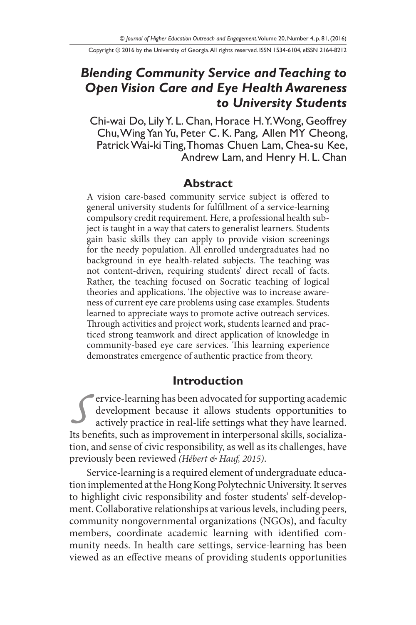Copyright © 2016 by the University of Georgia. All rights reserved. ISSN 1534-6104, eISSN 2164-8212

# *Blending Community Service and Teaching to Open Vision Care and Eye Health Awareness to University Students*

Chi-wai Do, Lily Y. L. Chan, Horace H. Y. Wong, Geoffrey Chu, Wing Yan Yu, Peter C. K. Pang, Allen MY Cheong, Patrick Wai-ki Ting, Thomas Chuen Lam, Chea-su Kee, Andrew Lam, and Henry H. L. Chan

#### **Abstract**

A vision care-based community service subject is offered to general university students for fulfillment of a service-learning compulsory credit requirement. Here, a professional health subject is taught in a way that caters to generalist learners. Students gain basic skills they can apply to provide vision screenings for the needy population. All enrolled undergraduates had no background in eye health-related subjects. The teaching was not content-driven, requiring students' direct recall of facts. Rather, the teaching focused on Socratic teaching of logical theories and applications. The objective was to increase awareness of current eye care problems using case examples. Students learned to appreciate ways to promote active outreach services. Through activities and project work, students learned and practiced strong teamwork and direct application of knowledge in community-based eye care services. This learning experience demonstrates emergence of authentic practice from theory.

#### **Introduction**

Fervice-learning has been advocated for supporting academic<br>development because it allows students opportunities to<br>actively practice in real-life settings what they have learned.<br>Its benefits, such as improvement in inter development because it allows students opportunities to actively practice in real-life settings what they have learned. Its benefits, such as improvement in interpersonal skills, socialization, and sense of civic responsibility, as well as its challenges, have previously been reviewed *(Hébert & Hauf, 2015)*.

Service-learning is a required element of undergraduate education implemented at the Hong Kong Polytechnic University. It serves to highlight civic responsibility and foster students' self-development. Collaborative relationships at various levels, including peers, community nongovernmental organizations (NGOs), and faculty members, coordinate academic learning with identified community needs. In health care settings, service-learning has been viewed as an effective means of providing students opportunities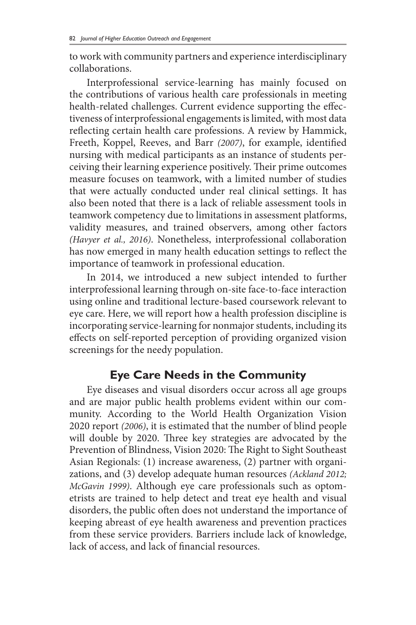to work with community partners and experience interdisciplinary collaborations.

Interprofessional service-learning has mainly focused on the contributions of various health care professionals in meeting health-related challenges. Current evidence supporting the effectiveness of interprofessional engagements is limited, with most data reflecting certain health care professions. A review by Hammick, Freeth, Koppel, Reeves, and Barr *(2007)*, for example, identified nursing with medical participants as an instance of students perceiving their learning experience positively. Their prime outcomes measure focuses on teamwork, with a limited number of studies that were actually conducted under real clinical settings. It has also been noted that there is a lack of reliable assessment tools in teamwork competency due to limitations in assessment platforms, validity measures, and trained observers, among other factors *(Havyer et al., 2016)*. Nonetheless, interprofessional collaboration has now emerged in many health education settings to reflect the importance of teamwork in professional education.

In 2014, we introduced a new subject intended to further interprofessional learning through on-site face-to-face interaction using online and traditional lecture-based coursework relevant to eye care. Here, we will report how a health profession discipline is incorporating service-learning for nonmajor students, including its effects on self-reported perception of providing organized vision screenings for the needy population.

## **Eye Care Needs in the Community**

Eye diseases and visual disorders occur across all age groups and are major public health problems evident within our community. According to the World Health Organization Vision 2020 report *(2006)*, it is estimated that the number of blind people will double by 2020. Three key strategies are advocated by the Prevention of Blindness, Vision 2020: The Right to Sight Southeast Asian Regionals: (1) increase awareness, (2) partner with organizations, and (3) develop adequate human resources *(Ackland 2012; McGavin 1999)*. Although eye care professionals such as optometrists are trained to help detect and treat eye health and visual disorders, the public often does not understand the importance of keeping abreast of eye health awareness and prevention practices from these service providers. Barriers include lack of knowledge, lack of access, and lack of financial resources.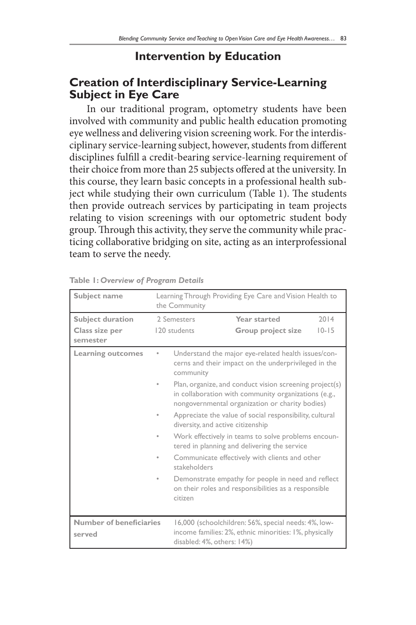### **Intervention by Education**

### **Creation of Interdisciplinary Service-Learning Subject in Eye Care**

In our traditional program, optometry students have been involved with community and public health education promoting eye wellness and delivering vision screening work. For the interdisciplinary service-learning subject, however, students from different disciplines fulfill a credit-bearing service-learning requirement of their choice from more than 25 subjects offered at the university. In this course, they learn basic concepts in a professional health subject while studying their own curriculum (Table 1). The students then provide outreach services by participating in team projects relating to vision screenings with our optometric student body group. Through this activity, they serve the community while practicing collaborative bridging on site, acting as an interprofessional team to serve the needy.

| Subject name                       | Learning Through Providing Eye Care and Vision Health to<br>the Community |                                                                                                                                              |                                                                                                                                                                    |                   |  |
|------------------------------------|---------------------------------------------------------------------------|----------------------------------------------------------------------------------------------------------------------------------------------|--------------------------------------------------------------------------------------------------------------------------------------------------------------------|-------------------|--|
| Subject duration<br>Class size per | 2 Semesters<br>120 students                                               |                                                                                                                                              | Year started<br>Group project size                                                                                                                                 | 2014<br>$10 - 15$ |  |
| semester                           |                                                                           |                                                                                                                                              |                                                                                                                                                                    |                   |  |
| <b>Learning outcomes</b>           | ٠                                                                         | community                                                                                                                                    | Understand the major eye-related health issues/con-<br>cerns and their impact on the underprivileged in the                                                        |                   |  |
|                                    |                                                                           |                                                                                                                                              | Plan, organize, and conduct vision screening project(s)<br>in collaboration with community organizations (e.g.,<br>nongovernmental organization or charity bodies) |                   |  |
|                                    |                                                                           | diversity, and active citizenship                                                                                                            | Appreciate the value of social responsibility, cultural                                                                                                            |                   |  |
|                                    |                                                                           |                                                                                                                                              | Work effectively in teams to solve problems encoun-<br>tered in planning and delivering the service                                                                |                   |  |
|                                    |                                                                           | Communicate effectively with clients and other<br>stakeholders                                                                               |                                                                                                                                                                    |                   |  |
|                                    |                                                                           | citizen                                                                                                                                      | Demonstrate empathy for people in need and reflect<br>on their roles and responsibilities as a responsible                                                         |                   |  |
| Number of beneficiaries<br>served  |                                                                           | 16,000 (schoolchildren: 56%, special needs: 4%, low-<br>income families: 2%, ethnic minorities: 1%, physically<br>disabled: 4%, others: 14%) |                                                                                                                                                                    |                   |  |

**Table 1:** *Overview of Program Details*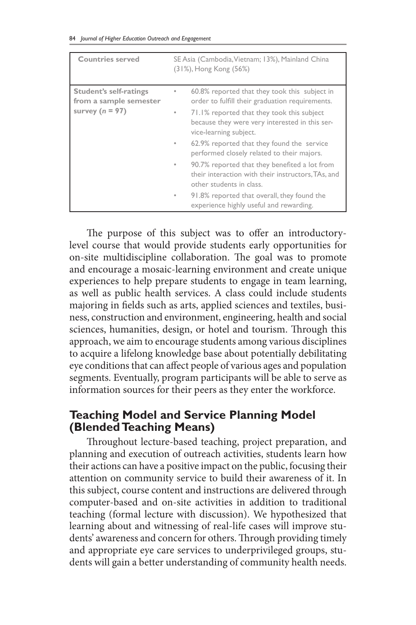|  |  |  |  |  |  | 84 Journal of Higher Education Outreach and Engagement |
|--|--|--|--|--|--|--------------------------------------------------------|
|--|--|--|--|--|--|--------------------------------------------------------|

| <b>Countries served</b>                                               | SE Asia (Cambodia, Vietnam; 13%), Mainland China<br>(31%), Hong Kong (56%)                                                                                                                                                                                                                                                                                                                                                                                                                                                                                                               |  |
|-----------------------------------------------------------------------|------------------------------------------------------------------------------------------------------------------------------------------------------------------------------------------------------------------------------------------------------------------------------------------------------------------------------------------------------------------------------------------------------------------------------------------------------------------------------------------------------------------------------------------------------------------------------------------|--|
| Student's self-ratings<br>from a sample semester<br>survey $(n = 97)$ | 60.8% reported that they took this subject in<br>$\circ$<br>order to fulfill their graduation requirements.<br>71.1% reported that they took this subject<br>۰<br>because they were very interested in this ser-<br>vice-learning subject.<br>62.9% reported that they found the service<br>$\circ$<br>performed closely related to their majors.<br>90.7% reported that they benefited a lot from<br>۰<br>their interaction with their instructors, TAs, and<br>other students in class.<br>91.8% reported that overall, they found the<br>۰<br>experience highly useful and rewarding. |  |

The purpose of this subject was to offer an introductorylevel course that would provide students early opportunities for on-site multidiscipline collaboration. The goal was to promote and encourage a mosaic-learning environment and create unique experiences to help prepare students to engage in team learning, as well as public health services. A class could include students majoring in fields such as arts, applied sciences and textiles, business, construction and environment, engineering, health and social sciences, humanities, design, or hotel and tourism. Through this approach, we aim to encourage students among various disciplines to acquire a lifelong knowledge base about potentially debilitating eye conditions that can affect people of various ages and population segments. Eventually, program participants will be able to serve as information sources for their peers as they enter the workforce.

## **Teaching Model and Service Planning Model (Blended Teaching Means)**

Throughout lecture-based teaching, project preparation, and planning and execution of outreach activities, students learn how their actions can have a positive impact on the public, focusing their attention on community service to build their awareness of it. In this subject, course content and instructions are delivered through computer-based and on-site activities in addition to traditional teaching (formal lecture with discussion). We hypothesized that learning about and witnessing of real-life cases will improve students' awareness and concern for others. Through providing timely and appropriate eye care services to underprivileged groups, students will gain a better understanding of community health needs.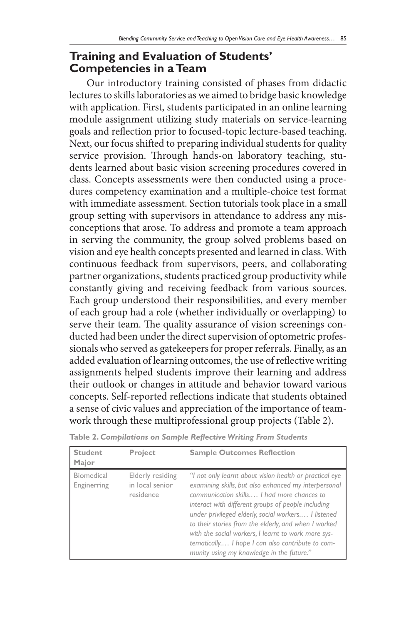#### **Training and Evaluation of Students' Competencies in a Team**

Our introductory training consisted of phases from didactic lectures to skills laboratories as we aimed to bridge basic knowledge with application. First, students participated in an online learning module assignment utilizing study materials on service-learning goals and reflection prior to focused-topic lecture-based teaching. Next, our focus shifted to preparing individual students for quality service provision. Through hands-on laboratory teaching, students learned about basic vision screening procedures covered in class. Concepts assessments were then conducted using a procedures competency examination and a multiple-choice test format with immediate assessment. Section tutorials took place in a small group setting with supervisors in attendance to address any misconceptions that arose. To address and promote a team approach in serving the community, the group solved problems based on vision and eye health concepts presented and learned in class. With continuous feedback from supervisors, peers, and collaborating partner organizations, students practiced group productivity while constantly giving and receiving feedback from various sources. Each group understood their responsibilities, and every member of each group had a role (whether individually or overlapping) to serve their team. The quality assurance of vision screenings conducted had been under the direct supervision of optometric professionals who served as gatekeepers for proper referrals. Finally, as an added evaluation of learning outcomes, the use of reflective writing assignments helped students improve their learning and address their outlook or changes in attitude and behavior toward various concepts. Self-reported reflections indicate that students obtained a sense of civic values and appreciation of the importance of teamwork through these multiprofessional group projects (Table 2).

| <b>Student</b><br>Major   | Project                                          | <b>Sample Outcomes Reflection</b>                                                                                                                                                                                                                                                                                                                                                                                                                                                          |
|---------------------------|--------------------------------------------------|--------------------------------------------------------------------------------------------------------------------------------------------------------------------------------------------------------------------------------------------------------------------------------------------------------------------------------------------------------------------------------------------------------------------------------------------------------------------------------------------|
| Biomedical<br>Enginerring | Elderly residing<br>in local senior<br>residence | "I not only learnt about vision health or practical eye<br>examining skills, but also enhanced my interpersonal<br>communication skills I had more chances to<br>interact with different groups of people including<br>under privileged elderly, social workers I listened<br>to their stories from the elderly, and when I worked<br>with the social workers, I learnt to work more sys-<br>tematically I hope I can also contribute to com-<br>munity using my knowledge in the future." |

**Table 2.** *Compilations on Sample Reflective Writing From Students*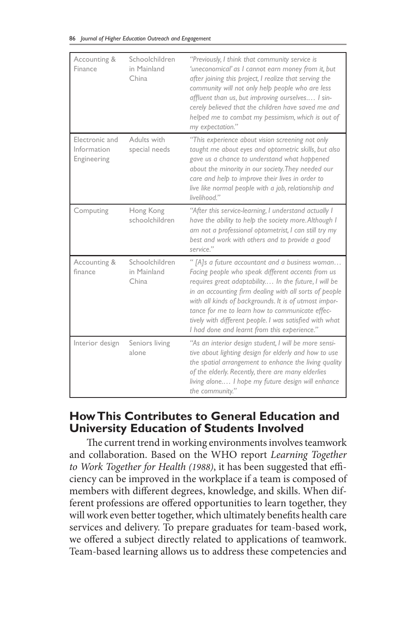|  |  |  |  |  |  | 86 Journal of Higher Education Outreach and Engagement |
|--|--|--|--|--|--|--------------------------------------------------------|
|--|--|--|--|--|--|--------------------------------------------------------|

| Accounting &<br>Finance                      | Schoolchildren<br>in Mainland<br>China | "Previously, I think that community service is<br>'uneconomical' as I cannot earn money from it, but<br>after joining this project, I realize that serving the<br>community will not only help people who are less<br>affluent than us, but improving ourselves I sin-<br>cerely believed that the children have saved me and<br>helped me to combat my pessimism, which is out of<br>my expectation."                                        |
|----------------------------------------------|----------------------------------------|-----------------------------------------------------------------------------------------------------------------------------------------------------------------------------------------------------------------------------------------------------------------------------------------------------------------------------------------------------------------------------------------------------------------------------------------------|
| Electronic and<br>Information<br>Engineering | Adults with<br>special needs           | "This experience about vision screening not only<br>taught me about eyes and optometric skills, but also<br>gave us a chance to understand what happened<br>about the minority in our society. They needed our<br>care and help to improve their lives in order to<br>live like normal people with a job, relationship and<br>livelihood."                                                                                                    |
| Computing                                    | Hong Kong<br>schoolchildren            | "After this service-learning, I understand actually I<br>have the ability to help the society more. Although I<br>am not a professional optometrist, I can still try my<br>best and work with others and to provide a good<br>service."                                                                                                                                                                                                       |
| Accounting &<br>finance                      | Schoolchildren<br>in Mainland<br>China | " [A]s a future accountant and a business woman<br>Facing people who speak different accents from us<br>requires great adaptability In the future, I will be<br>in an accounting firm dealing with all sorts of people<br>with all kinds of backgrounds. It is of utmost impor-<br>tance for me to learn how to communicate effec-<br>tively with different people. I was satisfied with what<br>I had done and learnt from this experience." |
| Interior design                              | Seniors living<br>alone                | "As an interior design student, I will be more sensi-<br>tive about lighting design for elderly and how to use<br>the spatial arrangement to enhance the living quality<br>of the elderly. Recently, there are many elderlies<br>living alone I hope my future design will enhance<br>the community."                                                                                                                                         |

### **How This Contributes to General Education and University Education of Students Involved**

The current trend in working environments involves teamwork and collaboration. Based on the WHO report *Learning Together to Work Together for Health (1988)*, it has been suggested that efficiency can be improved in the workplace if a team is composed of members with different degrees, knowledge, and skills. When different professions are offered opportunities to learn together, they will work even better together, which ultimately benefits health care services and delivery. To prepare graduates for team-based work, we offered a subject directly related to applications of teamwork. Team-based learning allows us to address these competencies and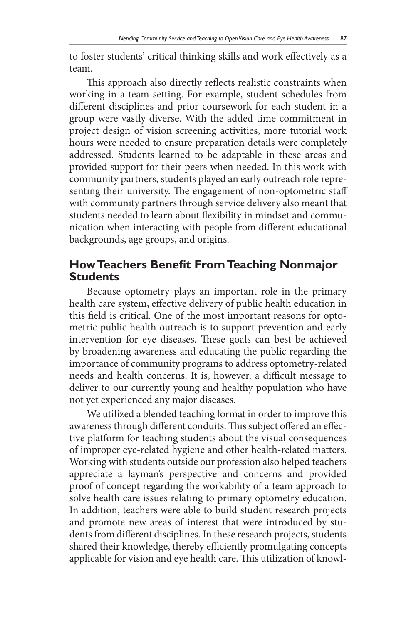to foster students' critical thinking skills and work effectively as a team.

This approach also directly reflects realistic constraints when working in a team setting. For example, student schedules from different disciplines and prior coursework for each student in a group were vastly diverse. With the added time commitment in project design of vision screening activities, more tutorial work hours were needed to ensure preparation details were completely addressed. Students learned to be adaptable in these areas and provided support for their peers when needed. In this work with community partners, students played an early outreach role representing their university. The engagement of non-optometric staff with community partners through service delivery also meant that students needed to learn about flexibility in mindset and communication when interacting with people from different educational backgrounds, age groups, and origins.

### **How Teachers Benefit From Teaching Nonmajor Students**

Because optometry plays an important role in the primary health care system, effective delivery of public health education in this field is critical. One of the most important reasons for optometric public health outreach is to support prevention and early intervention for eye diseases. These goals can best be achieved by broadening awareness and educating the public regarding the importance of community programs to address optometry-related needs and health concerns. It is, however, a difficult message to deliver to our currently young and healthy population who have not yet experienced any major diseases.

We utilized a blended teaching format in order to improve this awareness through different conduits. This subject offered an effective platform for teaching students about the visual consequences of improper eye-related hygiene and other health-related matters. Working with students outside our profession also helped teachers appreciate a layman's perspective and concerns and provided proof of concept regarding the workability of a team approach to solve health care issues relating to primary optometry education. In addition, teachers were able to build student research projects and promote new areas of interest that were introduced by students from different disciplines. In these research projects, students shared their knowledge, thereby efficiently promulgating concepts applicable for vision and eye health care. This utilization of knowl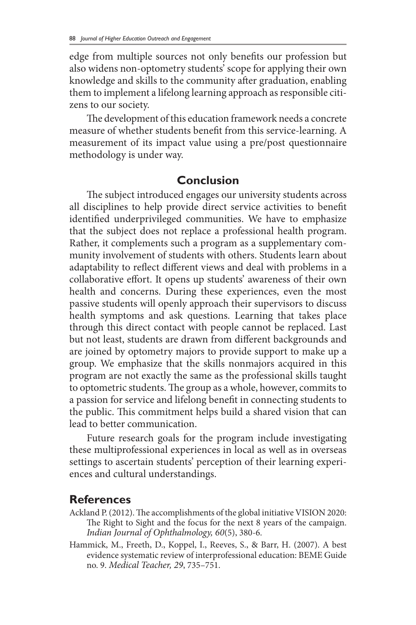edge from multiple sources not only benefits our profession but also widens non-optometry students' scope for applying their own knowledge and skills to the community after graduation, enabling them to implement a lifelong learning approach as responsible citizens to our society.

The development of this education framework needs a concrete measure of whether students benefit from this service-learning. A measurement of its impact value using a pre/post questionnaire methodology is under way.

### **Conclusion**

The subject introduced engages our university students across all disciplines to help provide direct service activities to benefit identified underprivileged communities. We have to emphasize that the subject does not replace a professional health program. Rather, it complements such a program as a supplementary community involvement of students with others. Students learn about adaptability to reflect different views and deal with problems in a collaborative effort. It opens up students' awareness of their own health and concerns. During these experiences, even the most passive students will openly approach their supervisors to discuss health symptoms and ask questions. Learning that takes place through this direct contact with people cannot be replaced. Last but not least, students are drawn from different backgrounds and are joined by optometry majors to provide support to make up a group. We emphasize that the skills nonmajors acquired in this program are not exactly the same as the professional skills taught to optometric students. The group as a whole, however, commits to a passion for service and lifelong benefit in connecting students to the public. This commitment helps build a shared vision that can lead to better communication.

Future research goals for the program include investigating these multiprofessional experiences in local as well as in overseas settings to ascertain students' perception of their learning experiences and cultural understandings.

#### **References**

- Ackland P. (2012). The accomplishments of the global initiative VISION 2020: The Right to Sight and the focus for the next 8 years of the campaign. *Indian Journal of Ophthalmology, 60*(5), 380-6.
- Hammick, M., Freeth, D., Koppel, I., Reeves, S., & Barr, H. (2007). A best evidence systematic review of interprofessional education: BEME Guide no. 9. *Medical Teacher, 29*, 735–751.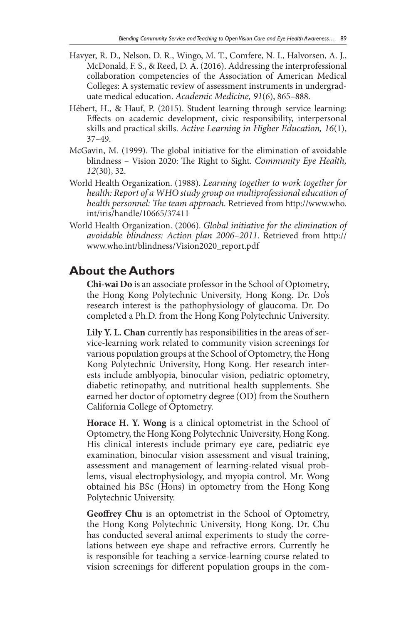- Havyer, R. D., Nelson, D. R., Wingo, M. T., Comfere, N. I., Halvorsen, A. J., McDonald, F. S., & Reed, D. A. (2016). Addressing the interprofessional collaboration competencies of the Association of American Medical Colleges: A systematic review of assessment instruments in undergraduate medical education. *Academic Medicine, 91*(6), 865–888.
- Hébert, H., & Hauf, P. (2015). Student learning through service learning: Effects on academic development, civic responsibility, interpersonal skills and practical skills. *Active Learning in Higher Education, 16*(1), 37–49.
- McGavin, M. (1999). The global initiative for the elimination of avoidable blindness – Vision 2020: The Right to Sight. *Community Eye Health, 12*(30), 32.
- World Health Organization. (1988). *Learning together to work together for health: Report of a WHO study group on multiprofessional education of health personnel: The team approach.* Retrieved from http://www.who. int/iris/handle/10665/37411
- World Health Organization. (2006). *Global initiative for the elimination of avoidable blindness: Action plan 2006–2011*. Retrieved from http:// www.who.int/blindness/Vision2020\_report.pdf

#### **About the Authors**

**Chi-wai Do** is an associate professor in the School of Optometry, the Hong Kong Polytechnic University, Hong Kong. Dr. Do's research interest is the pathophysiology of glaucoma. Dr. Do completed a Ph.D. from the Hong Kong Polytechnic University.

**Lily Y. L. Chan** currently has responsibilities in the areas of service-learning work related to community vision screenings for various population groups at the School of Optometry, the Hong Kong Polytechnic University, Hong Kong. Her research interests include amblyopia, binocular vision, pediatric optometry, diabetic retinopathy, and nutritional health supplements. She earned her doctor of optometry degree (OD) from the Southern California College of Optometry.

**Horace H. Y. Wong** is a clinical optometrist in the School of Optometry, the Hong Kong Polytechnic University, Hong Kong. His clinical interests include primary eye care, pediatric eye examination, binocular vision assessment and visual training, assessment and management of learning-related visual problems, visual electrophysiology, and myopia control. Mr. Wong obtained his BSc (Hons) in optometry from the Hong Kong Polytechnic University.

**Geoffrey Chu** is an optometrist in the School of Optometry, the Hong Kong Polytechnic University, Hong Kong. Dr. Chu has conducted several animal experiments to study the correlations between eye shape and refractive errors. Currently he is responsible for teaching a service-learning course related to vision screenings for different population groups in the com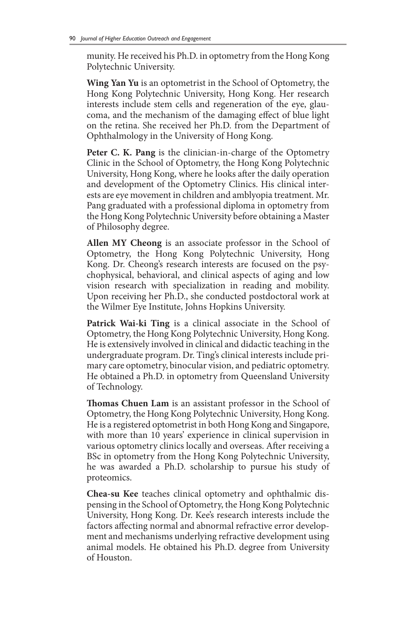munity. He received his Ph.D. in optometry from the Hong Kong Polytechnic University.

**Wing Yan Yu** is an optometrist in the School of Optometry, the Hong Kong Polytechnic University, Hong Kong. Her research interests include stem cells and regeneration of the eye, glaucoma, and the mechanism of the damaging effect of blue light on the retina. She received her Ph.D. from the Department of Ophthalmology in the University of Hong Kong.

**Peter C. K. Pang** is the clinician-in-charge of the Optometry Clinic in the School of Optometry, the Hong Kong Polytechnic University, Hong Kong, where he looks after the daily operation and development of the Optometry Clinics. His clinical interests are eye movement in children and amblyopia treatment. Mr. Pang graduated with a professional diploma in optometry from the Hong Kong Polytechnic University before obtaining a Master of Philosophy degree.

**Allen MY Cheong** is an associate professor in the School of Optometry, the Hong Kong Polytechnic University, Hong Kong. Dr. Cheong's research interests are focused on the psychophysical, behavioral, and clinical aspects of aging and low vision research with specialization in reading and mobility. Upon receiving her Ph.D., she conducted postdoctoral work at the Wilmer Eye Institute, Johns Hopkins University.

**Patrick Wai-ki Ting** is a clinical associate in the School of Optometry, the Hong Kong Polytechnic University, Hong Kong. He is extensively involved in clinical and didactic teaching in the undergraduate program. Dr. Ting's clinical interests include primary care optometry, binocular vision, and pediatric optometry. He obtained a Ph.D. in optometry from Queensland University of Technology.

**Thomas Chuen Lam** is an assistant professor in the School of Optometry, the Hong Kong Polytechnic University, Hong Kong. He is a registered optometrist in both Hong Kong and Singapore, with more than 10 years' experience in clinical supervision in various optometry clinics locally and overseas. After receiving a BSc in optometry from the Hong Kong Polytechnic University, he was awarded a Ph.D. scholarship to pursue his study of proteomics.

**Chea-su Kee** teaches clinical optometry and ophthalmic dispensing in the School of Optometry, the Hong Kong Polytechnic University, Hong Kong. Dr. Kee's research interests include the factors affecting normal and abnormal refractive error development and mechanisms underlying refractive development using animal models. He obtained his Ph.D. degree from University of Houston.